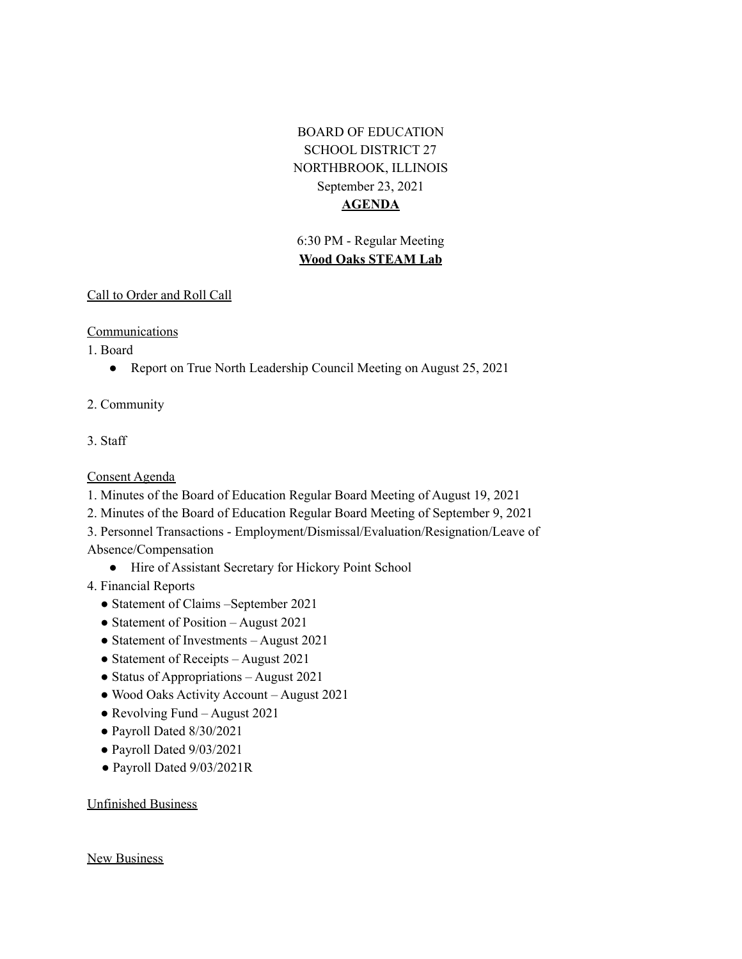# BOARD OF EDUCATION SCHOOL DISTRICT 27 NORTHBROOK, ILLINOIS September 23, 2021 **AGENDA**

# 6:30 PM - Regular Meeting **Wood Oaks STEAM Lab**

## Call to Order and Roll Call

## **Communications**

1. Board

- Report on True North Leadership Council Meeting on August 25, 2021
- 2. Community
- 3. Staff

# Consent Agenda

- 1. Minutes of the Board of Education Regular Board Meeting of August 19, 2021
- 2. Minutes of the Board of Education Regular Board Meeting of September 9, 2021
- 3. Personnel Transactions Employment/Dismissal/Evaluation/Resignation/Leave of Absence/Compensation
	- Hire of Assistant Secretary for Hickory Point School
- 4. Financial Reports
	- Statement of Claims –September 2021
	- Statement of Position August 2021
	- Statement of Investments August 2021
	- Statement of Receipts August 2021
	- Status of Appropriations August 2021
	- Wood Oaks Activity Account August 2021
	- Revolving Fund August 2021
	- Payroll Dated 8/30/2021
	- Payroll Dated 9/03/2021
	- Payroll Dated 9/03/2021R

# Unfinished Business

#### New Business